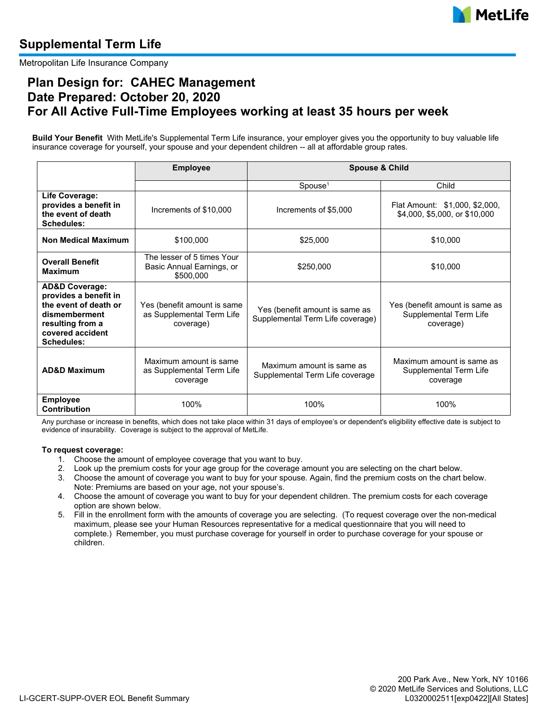

# **Supplemental Term Life**

Metropolitan Life Insurance Company

## **Plan Design for: CAHEC Management Date Prepared: October 20, 2020 For All Active Full-Time Employees working at least 35 hours per week**

**Build Your Benefit** With MetLife's Supplemental Term Life insurance, your employer gives you the opportunity to buy valuable life insurance coverage for yourself, your spouse and your dependent children -- all at affordable group rates.

|                                                                                                                                                                                                                                    | <b>Employee</b>                                                      | <b>Spouse &amp; Child</b>                                          |                                                                       |  |  |
|------------------------------------------------------------------------------------------------------------------------------------------------------------------------------------------------------------------------------------|----------------------------------------------------------------------|--------------------------------------------------------------------|-----------------------------------------------------------------------|--|--|
|                                                                                                                                                                                                                                    |                                                                      | $S$ pouse <sup>1</sup>                                             | Child                                                                 |  |  |
| Life Coverage:<br>provides a benefit in<br>the event of death<br>Schedules:                                                                                                                                                        | Increments of \$10,000                                               | Increments of \$5,000                                              | Flat Amount: \$1,000, \$2,000,<br>\$4,000, \$5,000, or \$10,000       |  |  |
| <b>Non Medical Maximum</b>                                                                                                                                                                                                         | \$100,000                                                            | \$25,000                                                           | \$10,000                                                              |  |  |
| <b>Overall Benefit</b><br><b>Maximum</b>                                                                                                                                                                                           | The lesser of 5 times Your<br>Basic Annual Earnings, or<br>\$500,000 | \$250,000                                                          | \$10,000                                                              |  |  |
| <b>AD&amp;D Coverage:</b><br>provides a benefit in<br>the event of death or<br>Yes (benefit amount is same<br>dismemberment<br>as Supplemental Term Life<br>resulting from a<br>coverage)<br>covered accident<br><b>Schedules:</b> |                                                                      | Yes (benefit amount is same as<br>Supplemental Term Life coverage) | Yes (benefit amount is same as<br>Supplemental Term Life<br>coverage) |  |  |
| <b>AD&amp;D Maximum</b>                                                                                                                                                                                                            | Maximum amount is same<br>as Supplemental Term Life<br>coverage      | Maximum amount is same as<br>Supplemental Term Life coverage       | Maximum amount is same as<br>Supplemental Term Life<br>coverage       |  |  |
| <b>Employee</b><br><b>Contribution</b>                                                                                                                                                                                             | 100%                                                                 | 100%                                                               | 100%                                                                  |  |  |

Any purchase or increase in benefits, which does not take place within 31 days of employee's or dependent's eligibility effective date is subject to evidence of insurability. Coverage is subject to the approval of MetLife.

#### **To request coverage:**

- 1. Choose the amount of employee coverage that you want to buy.
- 2. Look up the premium costs for your age group for the coverage amount you are selecting on the chart below.
- 3. Choose the amount of coverage you want to buy for your spouse. Again, find the premium costs on the chart below. Note: Premiums are based on your age, not your spouse's.
- 4. Choose the amount of coverage you want to buy for your dependent children. The premium costs for each coverage option are shown below.
- 5. Fill in the enrollment form with the amounts of coverage you are selecting. (To request coverage over the non-medical maximum, please see your Human Resources representative for a medical questionnaire that you will need to complete.) Remember, you must purchase coverage for yourself in order to purchase coverage for your spouse or children.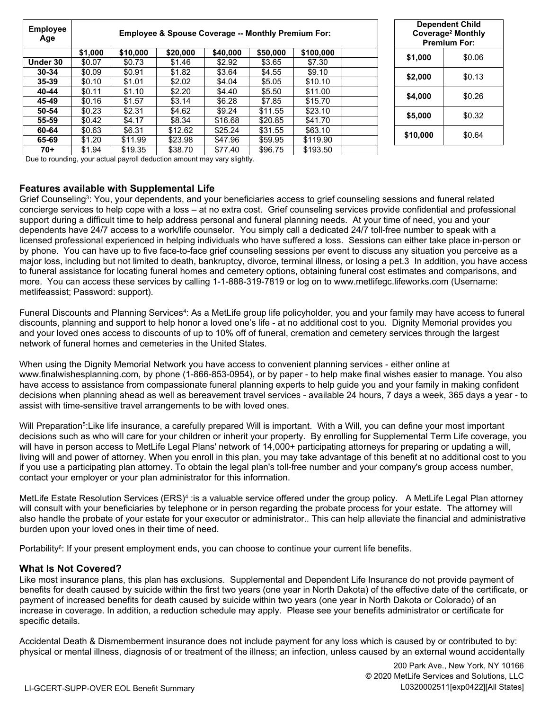| <b>Employee</b><br>Age | <b>Employee &amp; Spouse Coverage -- Monthly Premium For:</b> |          |          |          |          |           |  | <b>Dependent Child</b><br>Coverage <sup>2</sup> Monthly<br><b>Premium For:</b> |        |
|------------------------|---------------------------------------------------------------|----------|----------|----------|----------|-----------|--|--------------------------------------------------------------------------------|--------|
|                        | \$1,000                                                       | \$10,000 | \$20,000 | \$40,000 | \$50,000 | \$100,000 |  |                                                                                |        |
| Under 30               | \$0.07                                                        | \$0.73   | \$1.46   | \$2.92   | \$3.65   | \$7.30    |  | \$1,000                                                                        | \$0.06 |
| 30-34                  | \$0.09                                                        | \$0.91   | \$1.82   | \$3.64   | \$4.55   | \$9.10    |  | \$2,000                                                                        | \$0.13 |
| 35-39                  | \$0.10                                                        | \$1.01   | \$2.02   | \$4.04   | \$5.05   | \$10.10   |  |                                                                                |        |
| 40-44                  | \$0.11                                                        | \$1.10   | \$2.20   | \$4.40   | \$5.50   | \$11.00   |  | \$4,000                                                                        | \$0.26 |
| 45-49                  | \$0.16                                                        | \$1.57   | \$3.14   | \$6.28   | \$7.85   | \$15.70   |  |                                                                                |        |
| 50-54                  | \$0.23                                                        | \$2.31   | \$4.62   | \$9.24   | \$11.55  | \$23.10   |  | \$5,000                                                                        | \$0.32 |
| 55-59                  | \$0.42                                                        | \$4.17   | \$8.34   | \$16.68  | \$20.85  | \$41.70   |  |                                                                                |        |
| 60-64                  | \$0.63                                                        | \$6.31   | \$12.62  | \$25.24  | \$31.55  | \$63.10   |  | \$10,000                                                                       | \$0.64 |
| 65-69                  | \$1.20                                                        | \$11.99  | \$23.98  | \$47.96  | \$59.95  | \$119.90  |  |                                                                                |        |
| 70+                    | \$1.94                                                        | \$19.35  | \$38.70  | \$77.40  | \$96.75  | \$193.50  |  |                                                                                |        |

Due to rounding, your actual payroll deduction amount may vary slightly.

### **Features available with Supplemental Life**

Grief Counseling<sup>3</sup>: You, your dependents, and your beneficiaries access to grief counseling sessions and funeral related concierge services to help cope with a loss – at no extra cost. Grief counseling services provide confidential and professional support during a difficult time to help address personal and funeral planning needs. At your time of need, you and your dependents have 24/7 access to a work/life counselor. You simply call a dedicated 24/7 toll-free number to speak with a licensed professional experienced in helping individuals who have suffered a loss. Sessions can either take place in-person or by phone. You can have up to five face-to-face grief counseling sessions per event to discuss any situation you perceive as a major loss, including but not limited to death, bankruptcy, divorce, terminal illness, or losing a pet.3 In addition, you have access to funeral assistance for locating funeral homes and cemetery options, obtaining funeral cost estimates and comparisons, and more. You can access these services by calling 1-1-888-319-7819 or log on to www.metlifegc.lifeworks.com (Username: metlifeassist; Password: support).

Funeral Discounts and Planning Services<sup>4</sup>: As a MetLife group life policyholder, you and your family may have access to funeral discounts, planning and support to help honor a loved one's life - at no additional cost to you. Dignity Memorial provides you and your loved ones access to discounts of up to 10% off of funeral, cremation and cemetery services through the largest network of funeral homes and cemeteries in the United States.

When using the Dignity Memorial Network you have access to convenient planning services - either online at www.finalwishesplanning.com, by phone (1-866-853-0954), or by paper - to help make final wishes easier to manage. You also have access to assistance from compassionate funeral planning experts to help guide you and your family in making confident decisions when planning ahead as well as bereavement travel services - available 24 hours, 7 days a week, 365 days a year - to assist with time-sensitive travel arrangements to be with loved ones.

Will Preparation<sup>5</sup>:Like life insurance, a carefully prepared Will is important. With a Will, you can define your most important decisions such as who will care for your children or inherit your property. By enrolling for Supplemental Term Life coverage, you will have in person access to MetLife Legal Plans' network of 14,000+ participating attorneys for preparing or updating a will, living will and power of attorney. When you enroll in this plan, you may take advantage of this benefit at no additional cost to you if you use a participating plan attorney. To obtain the legal plan's toll-free number and your company's group access number, contact your employer or your plan administrator for this information.

MetLife Estate Resolution Services (ERS)<sup>4</sup> :is a valuable service offered under the group policy.  $\,$  A MetLife Legal Plan attorney will consult with your beneficiaries by telephone or in person regarding the probate process for your estate. The attorney will also handle the probate of your estate for your executor or administrator.. This can help alleviate the financial and administrative burden upon your loved ones in their time of need.

Portability<sup>6</sup>: If your present employment ends, you can choose to continue your current life benefits.

## **What Is Not Covered?**

Like most insurance plans, this plan has exclusions. Supplemental and Dependent Life Insurance do not provide payment of benefits for death caused by suicide within the first two years (one year in North Dakota) of the effective date of the certificate, or payment of increased benefits for death caused by suicide within two years (one year in North Dakota or Colorado) of an increase in coverage. In addition, a reduction schedule may apply. Please see your benefits administrator or certificate for specific details.

Accidental Death & Dismemberment insurance does not include payment for any loss which is caused by or contributed to by: physical or mental illness, diagnosis of or treatment of the illness; an infection, unless caused by an external wound accidentally